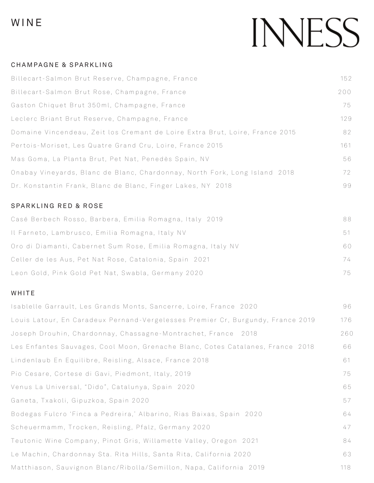### WINE

## INNESS

#### CHAMPAGNE & SPARKLING

| Billecart-Salmon Brut Reserve, Champagne, France                             | 152 |
|------------------------------------------------------------------------------|-----|
| Billecart-Salmon Brut Rose, Champagne, France                                | 200 |
| Gaston Chiquet Brut 350ml, Champagne, France                                 | 75  |
| Leclerc Briant Brut Reserve, Champagne, France                               | 129 |
| Domaine Vincendeau, Zeit los Cremant de Loire Extra Brut, Loire, France 2015 | 82  |
| Pertois-Moriset, Les Quatre Grand Cru, Loire, France 2015                    | 161 |
| Mas Goma, La Planta Brut, Pet Nat, Penedès Spain, NV                         | 56  |
| Onabay Vineyards, Blanc de Blanc, Chardonnay, North Fork, Long Island 2018   | 72  |
| Dr. Konstantin Frank, Blanc de Blanc, Finger Lakes, NY 2018                  | 99  |

#### SPARKLING RED & ROSE

| Casé Berbech Rosso, Barbera, Emilia Romagna, Italy 2019      | 88 |
|--------------------------------------------------------------|----|
| Il Farneto, Lambrusco, Emilia Romagna, Italy NV              | 51 |
| Oro di Diamanti, Cabernet Sum Rose, Emilia Romagna, Italy NV | 60 |
| Celler de les Aus, Pet Nat Rose, Catalonia, Spain 2021       | 74 |
| Leon Gold, Pink Gold Pet Nat, Swabla, Germany 2020           | 75 |

#### WHITE

| Isablelle Garrault, Les Grands Monts, Sancerre, Loire, France 2020              | 96  |
|---------------------------------------------------------------------------------|-----|
| Louis Latour, En Caradeux Pernand-Vergelesses Premier Cr, Burgundy, France 2019 | 176 |
| Joseph Drouhin, Chardonnay, Chassagne-Montrachet, France 2018                   | 260 |
| Les Enfantes Sauvages, Cool Moon, Grenache Blanc, Cotes Catalanes, France 2018  | 66  |
| Lindenlaub En Equilibre, Reisling, Alsace, France 2018                          | 61  |
| Pio Cesare, Cortese di Gavi, Piedmont, Italy, 2019                              | 75  |
| Venus La Universal, "Dido", Catalunya, Spain 2020                               | 65  |
| Ganeta, Txakoli, Gipuzkoa, Spain 2020                                           | 57  |
| Bodegas Fulcro 'Finca a Pedreira,' Albarino, Rias Baixas, Spain 2020            | 64  |
| Scheuermamm, Trocken, Reisling, Pfalz, Germany 2020                             | 47  |
| Teutonic Wine Company, Pinot Gris, Willamette Valley, Oregon 2021               | 84  |
| Le Machin, Chardonnay Sta. Rita Hills, Santa Rita, California 2020              | 63  |
| Matthiason, Sauvignon Blanc/Ribolla/Semillon, Napa, California 2019             | 118 |